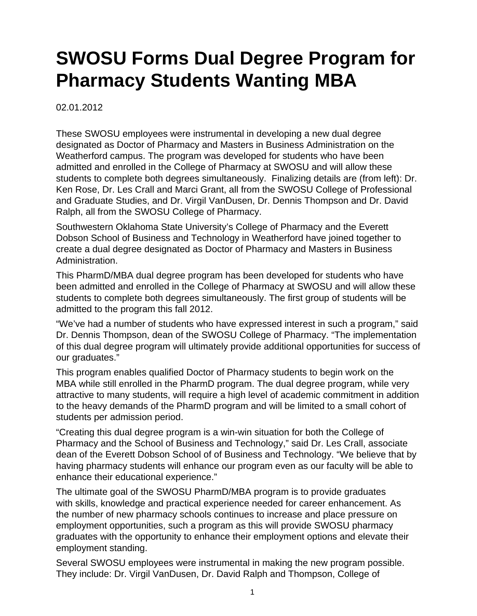## **SWOSU Forms Dual Degree Program for Pharmacy Students Wanting MBA**

02.01.2012

These SWOSU employees were instrumental in developing a new dual degree designated as Doctor of Pharmacy and Masters in Business Administration on the Weatherford campus. The program was developed for students who have been admitted and enrolled in the College of Pharmacy at SWOSU and will allow these students to complete both degrees simultaneously. Finalizing details are (from left): Dr. Ken Rose, Dr. Les Crall and Marci Grant, all from the SWOSU College of Professional and Graduate Studies, and Dr. Virgil VanDusen, Dr. Dennis Thompson and Dr. David Ralph, all from the SWOSU College of Pharmacy.

Southwestern Oklahoma State University's College of Pharmacy and the Everett Dobson School of Business and Technology in Weatherford have joined together to create a dual degree designated as Doctor of Pharmacy and Masters in Business Administration.

This PharmD/MBA dual degree program has been developed for students who have been admitted and enrolled in the College of Pharmacy at SWOSU and will allow these students to complete both degrees simultaneously. The first group of students will be admitted to the program this fall 2012.

"We've had a number of students who have expressed interest in such a program," said Dr. Dennis Thompson, dean of the SWOSU College of Pharmacy. "The implementation of this dual degree program will ultimately provide additional opportunities for success of our graduates."

This program enables qualified Doctor of Pharmacy students to begin work on the MBA while still enrolled in the PharmD program. The dual degree program, while very attractive to many students, will require a high level of academic commitment in addition to the heavy demands of the PharmD program and will be limited to a small cohort of students per admission period.

"Creating this dual degree program is a win-win situation for both the College of Pharmacy and the School of Business and Technology," said Dr. Les Crall, associate dean of the Everett Dobson School of of Business and Technology. "We believe that by having pharmacy students will enhance our program even as our faculty will be able to enhance their educational experience."

The ultimate goal of the SWOSU PharmD/MBA program is to provide graduates with skills, knowledge and practical experience needed for career enhancement. As the number of new pharmacy schools continues to increase and place pressure on employment opportunities, such a program as this will provide SWOSU pharmacy graduates with the opportunity to enhance their employment options and elevate their employment standing.

Several SWOSU employees were instrumental in making the new program possible. They include: Dr. Virgil VanDusen, Dr. David Ralph and Thompson, College of